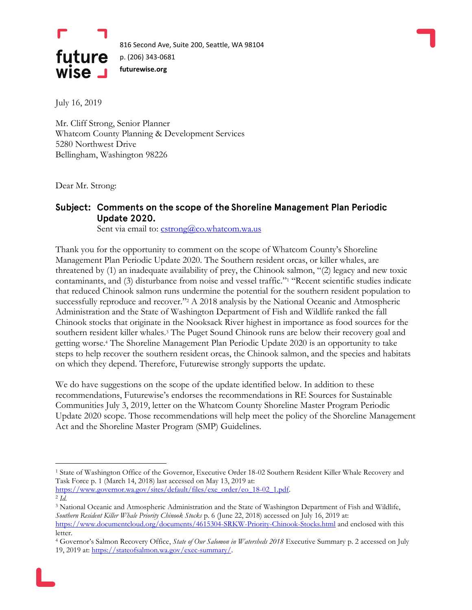



July 16, 2019

Mr. Cliff Strong, Senior Planner Whatcom County Planning & Development Services 5280 Northwest Drive Bellingham, Washington 98226

Dear Mr. Strong:

 $\overline{a}$ 

#### Subject: Comments on the scope of the Shoreline Management Plan Periodic Update 2020.

Sent via email to: [cstrong@co.whatcom.wa.us](mailto:cstrong@co.whatcom.wa.us)

Thank you for the opportunity to comment on the scope of Whatcom County's Shoreline Management Plan Periodic Update 2020. The Southern resident orcas, or killer whales, are threatened by (1) an inadequate availability of prey, the Chinook salmon, "(2) legacy and new toxic contaminants, and (3) disturbance from noise and vessel traffic."<sup>1</sup> "Recent scientific studies indicate that reduced Chinook salmon runs undermine the potential for the southern resident population to successfully reproduce and recover."<sup>2</sup> A 2018 analysis by the National Oceanic and Atmospheric Administration and the State of Washington Department of Fish and Wildlife ranked the fall Chinook stocks that originate in the Nooksack River highest in importance as food sources for the southern resident killer whales.<sup>3</sup> The Puget Sound Chinook runs are below their recovery goal and getting worse.<sup>4</sup> The Shoreline Management Plan Periodic Update 2020 is an opportunity to take steps to help recover the southern resident orcas, the Chinook salmon, and the species and habitats on which they depend. Therefore, Futurewise strongly supports the update.

We do have suggestions on the scope of the update identified below. In addition to these recommendations, Futurewise's endorses the recommendations in RE Sources for Sustainable Communities July 3, 2019, letter on the Whatcom County Shoreline Master Program Periodic Update 2020 scope. Those recommendations will help meet the policy of the Shoreline Management Act and the Shoreline Master Program (SMP) Guidelines.

<sup>1</sup> State of Washington Office of the Governor, Executive Order 18-02 Southern Resident Killer Whale Recovery and Task Force p. 1 (March 14, 2018) last accessed on May 13, 2019 at:

[https://www.governor.wa.gov/sites/default/files/exe\\_order/eo\\_18-02\\_1.pdf.](https://www.governor.wa.gov/sites/default/files/exe_order/eo_18-02_1.pdf) 2 *Id.*

<sup>3</sup> National Oceanic and Atmospheric Administration and the State of Washington Department of Fish and Wildlife, *Southern Resident Killer Whale Priority Chinook Stocks* p. 6 (June 22, 2018) accessed on July 16, 2019 at: <https://www.documentcloud.org/documents/4615304-SRKW-Priority-Chinook-Stocks.html> and enclosed with this letter.

<sup>4</sup> Governor's Salmon Recovery Office, *State of Our Salomon in Watersheds 2018* Executive Summary p. 2 accessed on July 19, 2019 at: [https://stateofsalmon.wa.gov/exec-summary/.](https://stateofsalmon.wa.gov/exec-summary/)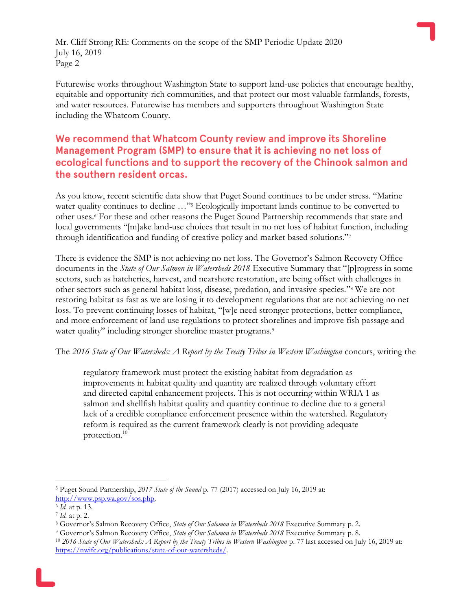Futurewise works throughout Washington State to support land-use policies that encourage healthy, equitable and opportunity-rich communities, and that protect our most valuable farmlands, forests, and water resources. Futurewise has members and supporters throughout Washington State including the Whatcom County.

## We recommend that Whatcom County review and improve its Shoreline Management Program (SMP) to ensure that it is achieving no net loss of ecological functions and to support the recovery of the Chinook salmon and the southern resident orcas.

As you know, recent scientific data show that Puget Sound continues to be under stress. "Marine water quality continues to decline ..."<sup>5</sup> Ecologically important lands continue to be converted to other uses.<sup>6</sup> For these and other reasons the Puget Sound Partnership recommends that state and local governments "[m]ake land-use choices that result in no net loss of habitat function, including through identification and funding of creative policy and market based solutions."<sup>7</sup>

There is evidence the SMP is not achieving no net loss. The Governor's Salmon Recovery Office documents in the *State of Our Salmon in Watersheds 2018* Executive Summary that "[p]rogress in some sectors, such as hatcheries, harvest, and nearshore restoration, are being offset with challenges in other sectors such as general habitat loss, disease, predation, and invasive species."<sup>8</sup> We are not restoring habitat as fast as we are losing it to development regulations that are not achieving no net loss. To prevent continuing losses of habitat, "[w]e need stronger protections, better compliance, and more enforcement of land use regulations to protect shorelines and improve fish passage and water quality" including stronger shoreline master programs.<sup>9</sup>

The *2016 State of Our Watersheds: A Report by the Treaty Tribes in Western Washington* concurs, writing the

regulatory framework must protect the existing habitat from degradation as improvements in habitat quality and quantity are realized through voluntary effort and directed capital enhancement projects. This is not occurring within WRIA 1 as salmon and shellfish habitat quality and quantity continue to decline due to a general lack of a credible compliance enforcement presence within the watershed. Regulatory reform is required as the current framework clearly is not providing adequate protection.<sup>10</sup>

<sup>5</sup> Puget Sound Partnership, *2017 State of the Sound* p. 77 (2017) accessed on July 16, 2019 at: [http://www.psp.wa.gov/sos.php.](http://www.psp.wa.gov/sos.php)

<sup>6</sup> *Id.* at p. 13.

<sup>7</sup> *Id.* at p. 2.

<sup>8</sup> Governor's Salmon Recovery Office, *State of Our Salomon in Watersheds 2018* Executive Summary p. 2.

<sup>9</sup> Governor's Salmon Recovery Office, *State of Our Salomon in Watersheds 2018* Executive Summary p. 8.

<sup>10</sup> *2016 State of Our Watersheds: A Report by the Treaty Tribes in Western Washington* p. 77 last accessed on July 16, 2019 at: [https://nwifc.org/publications/state-of-our-watersheds/.](https://nwifc.org/publications/state-of-our-watersheds/)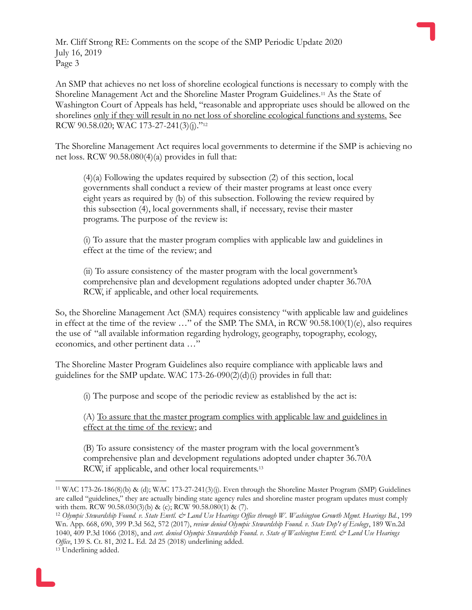An SMP that achieves no net loss of shoreline ecological functions is necessary to comply with the Shoreline Management Act and the Shoreline Master Program Guidelines.<sup>11</sup> As the State of Washington Court of Appeals has held, "reasonable and appropriate uses should be allowed on the shorelines only if they will result in no net loss of shoreline ecological functions and systems. See RCW 90.58.020; WAC 173-27-241(3)(j)."<sup>12</sup>

The Shoreline Management Act requires local governments to determine if the SMP is achieving no net loss. RCW 90.58.080(4)(a) provides in full that:

(4)(a) Following the updates required by subsection (2) of this section, local governments shall conduct a review of their master programs at least once every eight years as required by (b) of this subsection. Following the review required by this subsection (4), local governments shall, if necessary, revise their master programs. The purpose of the review is:

(i) To assure that the master program complies with applicable law and guidelines in effect at the time of the review; and

(ii) To assure consistency of the master program with the local government's comprehensive plan and development regulations adopted under chapter 36.70A RCW, if applicable, and other local requirements.

So, the Shoreline Management Act (SMA) requires consistency "with applicable law and guidelines in effect at the time of the review …" of the SMP. The SMA, in RCW 90.58.100(1)(e), also requires the use of "all available information regarding hydrology, geography, topography, ecology, economics, and other pertinent data …"

The Shoreline Master Program Guidelines also require compliance with applicable laws and guidelines for the SMP update. WAC 173-26-090(2)(d)(i) provides in full that:

(i) The purpose and scope of the periodic review as established by the act is:

(A) To assure that the master program complies with applicable law and guidelines in effect at the time of the review; and

(B) To assure consistency of the master program with the local government's comprehensive plan and development regulations adopted under chapter 36.70A RCW, if applicable, and other local requirements.<sup>13</sup>

<sup>11</sup> WAC 173-26-186(8)(b) & (d); WAC 173-27-241(3)(j). Even through the Shoreline Master Program (SMP) Guidelines are called "guidelines," they are actually binding state agency rules and shoreline master program updates must comply with them. RCW 90.58.030(3)(b) & (c); RCW 90.58.080(1) & (7).

<sup>12</sup> *Olympic Stewardship Found. v. State Envtl. & Land Use Hearings Office through W. Washington Growth Mgmt. Hearings Bd.*, 199 Wn. App. 668, 690, 399 P.3d 562, 572 (2017), *review denied Olympic Stewardship Found. v. State Dep't of Ecology*, 189 Wn.2d 1040, 409 P.3d 1066 (2018), and *cert. denied Olympic Stewardship Found. v. State of Washington Envtl. & Land Use Hearings Office*, 139 S. Ct. 81, 202 L. Ed. 2d 25 (2018) underlining added.

<sup>13</sup> Underlining added.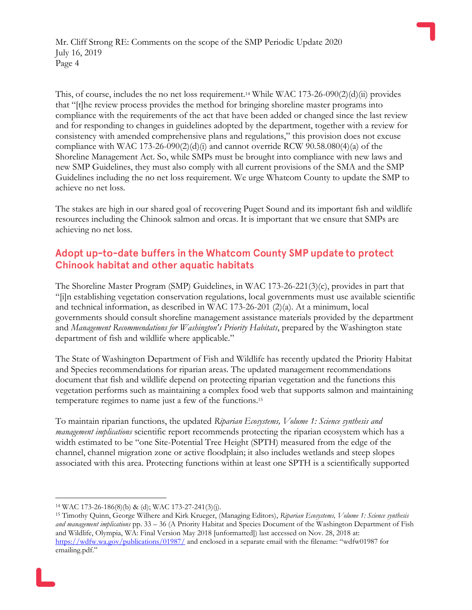This, of course, includes the no net loss requirement.<sup>14</sup> While WAC 173-26-090 $(2)(d)(ii)$  provides that "[t]he review process provides the method for bringing shoreline master programs into compliance with the requirements of the act that have been added or changed since the last review and for responding to changes in guidelines adopted by the department, together with a review for consistency with amended comprehensive plans and regulations," this provision does not excuse compliance with WAC 173-26-090(2)(d)(i) and cannot override RCW 90.58.080(4)(a) of the Shoreline Management Act. So, while SMPs must be brought into compliance with new laws and new SMP Guidelines, they must also comply with all current provisions of the SMA and the SMP Guidelines including the no net loss requirement. We urge Whatcom County to update the SMP to achieve no net loss.

The stakes are high in our shared goal of recovering Puget Sound and its important fish and wildlife resources including the Chinook salmon and orcas. It is important that we ensure that SMPs are achieving no net loss.

### Adopt up-to-date buffers in the Whatcom County SMP update to protect **Chinook habitat and other aquatic habitats**

The Shoreline Master Program (SMP) Guidelines, in WAC 173-26-221(3)(c), provides in part that "[i]n establishing vegetation conservation regulations, local governments must use available scientific and technical information, as described in WAC 173-26-201 (2)(a). At a minimum, local governments should consult shoreline management assistance materials provided by the department and *Management Recommendations for Washington's Priority Habitats*, prepared by the Washington state department of fish and wildlife where applicable."

The State of Washington Department of Fish and Wildlife has recently updated the Priority Habitat and Species recommendations for riparian areas. The updated management recommendations document that fish and wildlife depend on protecting riparian vegetation and the functions this vegetation performs such as maintaining a complex food web that supports salmon and maintaining temperature regimes to name just a few of the functions.<sup>15</sup>

To maintain riparian functions, the updated *Riparian Ecosystems, Volume 1: Science synthesis and management implications* scientific report recommends protecting the riparian ecosystem which has a width estimated to be "one Site-Potential Tree Height (SPTH) measured from the edge of the channel, channel migration zone or active floodplain; it also includes wetlands and steep slopes associated with this area. Protecting functions within at least one SPTH is a scientifically supported

<sup>14</sup> WAC 173-26-186(8)(b) & (d); WAC 173-27-241(3)(j).

<sup>15</sup> Timothy Quinn, George Wilhere and Kirk Krueger, (Managing Editors), *Riparian Ecosystems, Volume 1: Science synthesis and management implications* pp. 33 – 36 (A Priority Habitat and Species Document of the Washington Department of Fish and Wildlife, Olympia, WA: Final Version May 2018 [unformatted]) last accessed on Nov. 28, 2018 at: <https://wdfw.wa.gov/publications/01987/> and enclosed in a separate email with the filename: "wdfw01987 for emailing.pdf."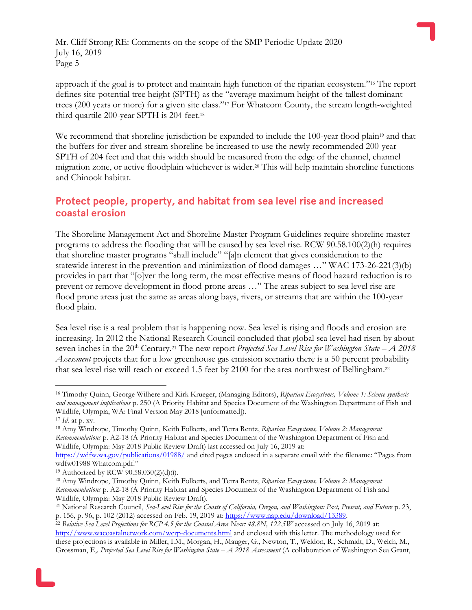approach if the goal is to protect and maintain high function of the riparian ecosystem."<sup>16</sup> The report defines site-potential tree height (SPTH) as the "average maximum height of the tallest dominant trees (200 years or more) for a given site class."<sup>17</sup> For Whatcom County, the stream length-weighted third quartile 200-year SPTH is 204 feet.<sup>18</sup>

We recommend that shoreline jurisdiction be expanded to include the 100-year flood plain<sup>19</sup> and that the buffers for river and stream shoreline be increased to use the newly recommended 200-year SPTH of 204 feet and that this width should be measured from the edge of the channel, channel migration zone, or active floodplain whichever is wider.<sup>20</sup> This will help maintain shoreline functions and Chinook habitat.

#### Protect people, property, and habitat from sea level rise and increased coastal erosion

The Shoreline Management Act and Shoreline Master Program Guidelines require shoreline master programs to address the flooding that will be caused by sea level rise. RCW 90.58.100(2)(h) requires that shoreline master programs "shall include" "[a]n element that gives consideration to the statewide interest in the prevention and minimization of flood damages …" WAC 173-26-221(3)(b) provides in part that "[o]ver the long term, the most effective means of flood hazard reduction is to prevent or remove development in flood-prone areas …" The areas subject to sea level rise are flood prone areas just the same as areas along bays, rivers, or streams that are within the 100-year flood plain.

Sea level rise is a real problem that is happening now. Sea level is rising and floods and erosion are increasing. In 2012 the National Research Council concluded that global sea level had risen by about seven inches in the 20<sup>th</sup> Century.<sup>21</sup> The new report *Projected Sea Level Rise for Washington State – A 2018 Assessment* projects that for a low greenhouse gas emission scenario there is a 50 percent probability that sea level rise will reach or exceed 1.5 feet by 2100 for the area northwest of Bellingham.<sup>22</sup>

 $\overline{a}$ <sup>16</sup> Timothy Quinn, George Wilhere and Kirk Krueger, (Managing Editors), *Riparian Ecosystems, Volume 1: Science synthesis and management implications* p. 250 (A Priority Habitat and Species Document of the Washington Department of Fish and Wildlife, Olympia, WA: Final Version May 2018 [unformatted]).

<sup>17</sup> *Id.* at p. xv.

<sup>18</sup> Amy Windrope, Timothy Quinn, Keith Folkerts, and Terra Rentz, *Riparian Ecosystems, Volume 2: Management Recommendations* p. A2-18 (A Priority Habitat and Species Document of the Washington Department of Fish and Wildlife, Olympia: May 2018 Public Review Draft) last accessed on July 16, 2019 at:

<https://wdfw.wa.gov/publications/01988/> and cited pages enclosed in a separate email with the filename: "Pages from wdfw01988 Whatcom.pdf."

<sup>19</sup> Authorized by RCW 90.58.030(2)(d)(i).

<sup>20</sup> Amy Windrope, Timothy Quinn, Keith Folkerts, and Terra Rentz, *Riparian Ecosystems, Volume 2: Management Recommendations* p. A2-18 (A Priority Habitat and Species Document of the Washington Department of Fish and Wildlife, Olympia: May 2018 Public Review Draft).

<sup>21</sup> National Research Council, *Sea-Level Rise for the Coasts of California, Oregon, and Washington: Past, Present, and Future* p. 23, p. 156, p. 96, p. 102 (2012) accessed on Feb. 19, 2019 at[: https://www.nap.edu/download/13389.](https://www.nap.edu/download/13389)

<sup>22</sup> *Relative Sea Level Projections for RCP 4.5 for the Coastal Area Near: 48.8N, 122.5W* accessed on July 16, 2019 at: <http://www.wacoastalnetwork.com/wcrp-documents.html> and enclosed with this letter. The methodology used for these projections is available in Miller, I.M., Morgan, H., Mauger, G., Newton, T., Weldon, R., Schmidt, D., Welch, M., Grossman, E,. *Projected Sea Level Rise for Washington State – A 2018 Assessment* (A collaboration of Washington Sea Grant,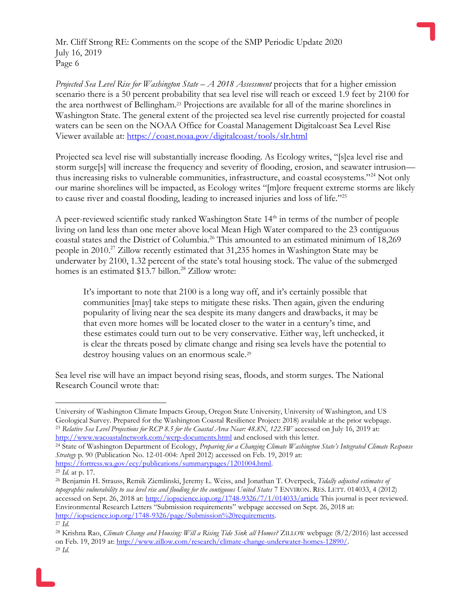*Projected Sea Level Rise for Washington State – A 2018 Assessment* projects that for a higher emission scenario there is a 50 percent probability that sea level rise will reach or exceed 1.9 feet by 2100 for the area northwest of Bellingham. <sup>23</sup> Projections are available for all of the marine shorelines in Washington State. The general extent of the projected sea level rise currently projected for coastal waters can be seen on the NOAA Office for Coastal Management Digitalcoast Sea Level Rise Viewer available at:<https://coast.noaa.gov/digitalcoast/tools/slr.html>

Projected sea level rise will substantially increase flooding. As Ecology writes, "[s]ea level rise and storm surge[s] will increase the frequency and severity of flooding, erosion, and seawater intrusion thus increasing risks to vulnerable communities, infrastructure, and coastal ecosystems."<sup>24</sup> Not only our marine shorelines will be impacted, as Ecology writes "[m]ore frequent extreme storms are likely to cause river and coastal flooding, leading to increased injuries and loss of life."<sup>25</sup>

A peer-reviewed scientific study ranked Washington State  $14<sup>th</sup>$  in terms of the number of people living on land less than one meter above local Mean High Water compared to the 23 contiguous coastal states and the District of Columbia.<sup>26</sup> This amounted to an estimated minimum of 18,269 people in 2010.<sup>27</sup> Zillow recently estimated that 31,235 homes in Washington State may be underwater by 2100, 1.32 percent of the state's total housing stock. The value of the submerged homes is an estimated \$13.7 billon.<sup>28</sup> Zillow wrote:

It's important to note that 2100 is a long way off, and it's certainly possible that communities [may] take steps to mitigate these risks. Then again, given the enduring popularity of living near the sea despite its many dangers and drawbacks, it may be that even more homes will be located closer to the water in a century's time, and these estimates could turn out to be very conservative. Either way, left unchecked, it is clear the threats posed by climate change and rising sea levels have the potential to destroy housing values on an enormous scale.<sup>29</sup>

Sea level rise will have an impact beyond rising seas, floods, and storm surges. The National Research Council wrote that:

<sup>24</sup> State of Washington Department of Ecology, *Preparing for a Changing Climate Washington State's Integrated Climate Response Strategy* p. 90 (Publication No. 12-01-004: April 2012) accessed on Feb. 19, 2019 at: [https://fortress.wa.gov/ecy/publications/summarypages/1201004.html.](https://fortress.wa.gov/ecy/publications/summarypages/1201004.html)

University of Washington Climate Impacts Group, Oregon State University, University of Washington, and US Geological Survey. Prepared for the Washington Coastal Resilience Project: 2018) available at the prior webpage. <sup>23</sup> *Relative Sea Level Projections for RCP 8.5 for the Coastal Area Near: 48.8N, 122.5W* accessed on July 16, 2019 at: <http://www.wacoastalnetwork.com/wcrp-documents.html> and enclosed with this letter.

<sup>25</sup> *Id.* at p. 17.

<sup>26</sup> Benjamin H. Strauss, Remik Ziemlinski, Jeremy L. Weiss, and Jonathan T. Overpeck, *Tidally adjusted estimates of topographic vulnerability to sea level rise and flooding for the contiguous United States* 7 ENVIRON. RES. LETT. 014033, 4 (2012) accessed on Sept. 26, 2018 at:<http://iopscience.iop.org/1748-9326/7/1/014033/article> This journal is peer reviewed. Environmental Research Letters "Submission requirements" webpage accessed on Sept. 26, 2018 at: [http://iopscience.iop.org/1748-9326/page/Submission%20requirements.](http://iopscience.iop.org/1748-9326/page/Submission%20requirements) <sup>27</sup> *Id.*

<sup>28</sup> Krishna Rao, *Climate Change and Housing: Will a Rising Tide Sink all Homes?* ZILLOW webpage (8/2/2016) last accessed on Feb. 19, 2019 at: [http://www.zillow.com/research/climate-change-underwater-homes-12890/.](http://www.zillow.com/research/climate-change-underwater-homes-12890/) <sup>29</sup> *Id.*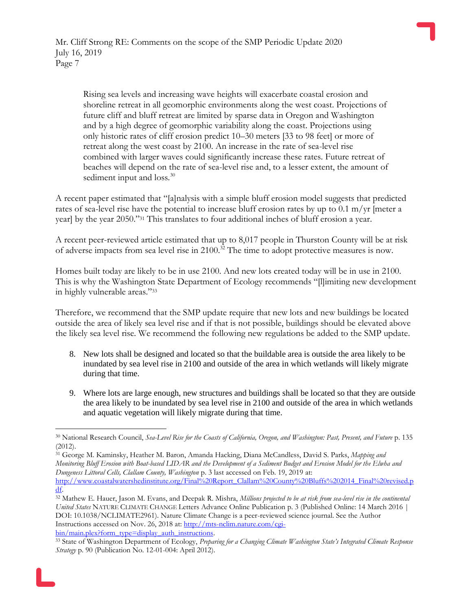Rising sea levels and increasing wave heights will exacerbate coastal erosion and shoreline retreat in all geomorphic environments along the west coast. Projections of future cliff and bluff retreat are limited by sparse data in Oregon and Washington and by a high degree of geomorphic variability along the coast. Projections using only historic rates of cliff erosion predict 10–30 meters [33 to 98 feet] or more of retreat along the west coast by 2100. An increase in the rate of sea-level rise combined with larger waves could significantly increase these rates. Future retreat of beaches will depend on the rate of sea-level rise and, to a lesser extent, the amount of sediment input and loss.<sup>30</sup>

A recent paper estimated that "[a]nalysis with a simple bluff erosion model suggests that predicted rates of sea-level rise have the potential to increase bluff erosion rates by up to 0.1 m/yr [meter a year] by the year 2050."<sup>31</sup> This translates to four additional inches of bluff erosion a year.

A recent peer-reviewed article estimated that up to 8,017 people in Thurston County will be at risk of adverse impacts from sea level rise in 2100.<sup>32</sup> The time to adopt protective measures is now.

Homes built today are likely to be in use 2100. And new lots created today will be in use in 2100. This is why the Washington State Department of Ecology recommends "[l]imiting new development in highly vulnerable areas."<sup>33</sup>

Therefore, we recommend that the SMP update require that new lots and new buildings be located outside the area of likely sea level rise and if that is not possible, buildings should be elevated above the likely sea level rise. We recommend the following new regulations be added to the SMP update.

- 8. New lots shall be designed and located so that the buildable area is outside the area likely to be inundated by sea level rise in 2100 and outside of the area in which wetlands will likely migrate during that time.
- 9. Where lots are large enough, new structures and buildings shall be located so that they are outside the area likely to be inundated by sea level rise in 2100 and outside of the area in which wetlands and aquatic vegetation will likely migrate during that time.

<sup>31</sup> George M. Kaminsky, Heather M. Baron, Amanda Hacking, Diana McCandless, David S. Parks, *Mapping and Monitoring Bluff Erosion with Boat-based LIDAR and the Development of a Sediment Budget and Erosion Model for the Elwha and Dungeness Littoral Cells, Clallam County, Washington* p. 3 last accessed on Feb. 19, 2019 at:

 $\overline{a}$ <sup>30</sup> National Research Council, *Sea-Level Rise for the Coasts of California, Oregon, and Washington: Past, Present, and Future* p. 135 (2012).

[http://www.coastalwatershedinstitute.org/Final%20Report\\_Clallam%20County%20Bluffs%202014\\_Final%20revised.p](http://www.coastalwatershedinstitute.org/Final%20Report_Clallam%20County%20Bluffs%202014_Final%20revised.pdf) [df.](http://www.coastalwatershedinstitute.org/Final%20Report_Clallam%20County%20Bluffs%202014_Final%20revised.pdf)

<sup>32</sup> Mathew E. Hauer, Jason M. Evans, and Deepak R. Mishra, *Millions projected to be at risk from sea-level rise in the continental United States* NATURE CLIMATE CHANGE Letters Advance Online Publication p. 3 (Published Online: 14 March 2016 | DOI: 10.1038/NCLIMATE2961). Nature Climate Change is a peer-reviewed science journal. See the Author Instructions accessed on Nov. 26, 2018 at[: http://mts-nclim.nature.com/cgi](http://mts-nclim.nature.com/cgi-bin/main.plex?form_type=display_auth_instructions)[bin/main.plex?form\\_type=display\\_auth\\_instructions.](http://mts-nclim.nature.com/cgi-bin/main.plex?form_type=display_auth_instructions)

<sup>33</sup> State of Washington Department of Ecology, *Preparing for a Changing Climate Washington State's Integrated Climate Response Strategy* p. 90 (Publication No. 12-01-004: April 2012).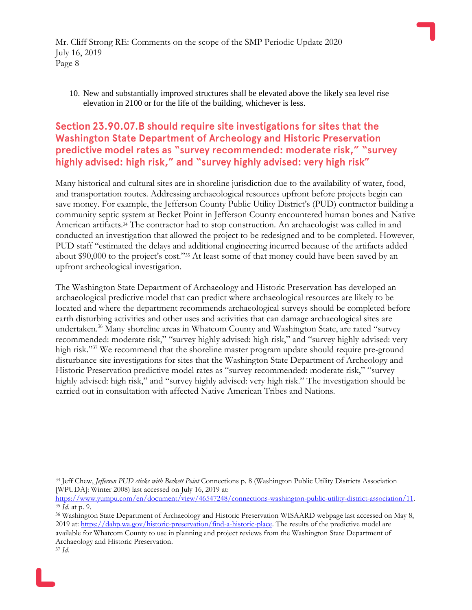10. New and substantially improved structures shall be elevated above the likely sea level rise elevation in 2100 or for the life of the building, whichever is less.

# Section 23.90.07.B should require site investigations for sites that the Washington State Department of Archeology and Historic Preservation predictive model rates as "survey recommended: moderate risk," "survey highly advised: high risk," and "survey highly advised: very high risk"

Many historical and cultural sites are in shoreline jurisdiction due to the availability of water, food, and transportation routes. Addressing archaeological resources upfront before projects begin can save money. For example, the Jefferson County Public Utility District's (PUD) contractor building a community septic system at Becket Point in Jefferson County encountered human bones and Native American artifacts.<sup>34</sup> The contractor had to stop construction. An archaeologist was called in and conducted an investigation that allowed the project to be redesigned and to be completed. However, PUD staff "estimated the delays and additional engineering incurred because of the artifacts added about \$90,000 to the project's cost."<sup>35</sup> At least some of that money could have been saved by an upfront archeological investigation.

The Washington State Department of Archaeology and Historic Preservation has developed an archaeological predictive model that can predict where archaeological resources are likely to be located and where the department recommends archaeological surveys should be completed before earth disturbing activities and other uses and activities that can damage archaeological sites are undertaken.<sup>36</sup> Many shoreline areas in Whatcom County and Washington State, are rated "survey" recommended: moderate risk," "survey highly advised: high risk," and "survey highly advised: very high risk."<sup>37</sup> We recommend that the shoreline master program update should require pre-ground disturbance site investigations for sites that the Washington State Department of Archeology and Historic Preservation predictive model rates as "survey recommended: moderate risk," "survey highly advised: high risk," and "survey highly advised: very high risk." The investigation should be carried out in consultation with affected Native American Tribes and Nations.

<sup>34</sup> Jeff Chew, *Jefferson PUD sticks with Beckett Point* Connections p. 8 (Washington Public Utility Districts Association [WPUDA]: Winter 2008) last accessed on July 16, 2019 at:

[https://www.yumpu.com/en/document/view/46547248/connections-washington-public-utility-district-association/11.](https://www.yumpu.com/en/document/view/46547248/connections-washington-public-utility-district-association/11) <sup>35</sup> *Id.* at p. 9.

<sup>36</sup> Washington State Department of Archaeology and Historic Preservation WISAARD webpage last accessed on May 8, 2019 at: [https://dahp.wa.gov/historic-preservation/find-a-historic-place.](https://dahp.wa.gov/historic-preservation/find-a-historic-place) The results of the predictive model are available for Whatcom County to use in planning and project reviews from the Washington State Department of Archaeology and Historic Preservation.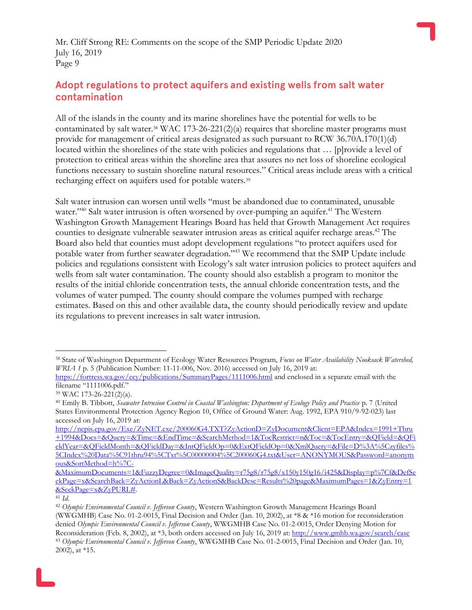## Adopt regulations to protect aquifers and existing wells from salt water contamination

All of the islands in the county and its marine shorelines have the potential for wells to be contaminated by salt water.<sup>38</sup> WAC 173-26-221(2)(a) requires that shoreline master programs must provide for management of critical areas designated as such pursuant to RCW 36.70A.170(1)(d) located within the shorelines of the state with policies and regulations that … [p]rovide a level of protection to critical areas within the shoreline area that assures no net loss of shoreline ecological functions necessary to sustain shoreline natural resources." Critical areas include areas with a critical recharging effect on aquifers used for potable waters.<sup>39</sup>

Salt water intrusion can worsen until wells "must be abandoned due to contaminated, unusable water."<sup>40</sup> Salt water intrusion is often worsened by over-pumping an aquifer.<sup>41</sup> The Western Washington Growth Management Hearings Board has held that Growth Management Act requires counties to designate vulnerable seawater intrusion areas as critical aquifer recharge areas.<sup>42</sup> The Board also held that counties must adopt development regulations "to protect aquifers used for potable water from further seawater degradation."<sup>43</sup> We recommend that the SMP Update include policies and regulations consistent with Ecology's salt water intrusion policies to protect aquifers and wells from salt water contamination. The county should also establish a program to monitor the results of the initial chloride concentration tests, the annual chloride concentration tests, and the volumes of water pumped. The county should compare the volumes pumped with recharge estimates. Based on this and other available data, the county should periodically review and update its regulations to prevent increases in salt water intrusion.

[&MaximumDocuments=1&FuzzyDegree=0&ImageQuality=r75g8/r75g8/x150y150g16/i425&Display=p%7Cf&DefSe](http://nepis.epa.gov/Exe/ZyNET.exe/200060G4.TXT?ZyActionD=ZyDocument&Client=EPA&Index=1991+Thru+1994&Docs=&Query=&Time=&EndTime=&SearchMethod=1&TocRestrict=n&Toc=&TocEntry=&QField=&QFieldYear=&QFieldMonth=&QFieldDay=&IntQFieldOp=0&ExtQFieldOp=0&XmlQuery=&File=D%3A%5Czyfiles%5CIndex%20Data%5C91thru94%5CTxt%5C00000004%5C200060G4.txt&User=ANONYMOUS&Password=anonymous&SortMethod=h%7C-&MaximumDocuments=1&FuzzyDegree=0&ImageQuality=r75g8/r75g8/x150y150g16/i425&Display=p%7Cf&DefSeekPage=x&SearchBack=ZyActionL&Back=ZyActionS&BackDesc=Results%20page&MaximumPages=1&ZyEntry=1&SeekPage=x&ZyPURL) [ekPage=x&SearchBack=ZyActionL&Back=ZyActionS&BackDesc=Results%20page&MaximumPages=1&ZyEntry=1](http://nepis.epa.gov/Exe/ZyNET.exe/200060G4.TXT?ZyActionD=ZyDocument&Client=EPA&Index=1991+Thru+1994&Docs=&Query=&Time=&EndTime=&SearchMethod=1&TocRestrict=n&Toc=&TocEntry=&QField=&QFieldYear=&QFieldMonth=&QFieldDay=&IntQFieldOp=0&ExtQFieldOp=0&XmlQuery=&File=D%3A%5Czyfiles%5CIndex%20Data%5C91thru94%5CTxt%5C00000004%5C200060G4.txt&User=ANONYMOUS&Password=anonymous&SortMethod=h%7C-&MaximumDocuments=1&FuzzyDegree=0&ImageQuality=r75g8/r75g8/x150y150g16/i425&Display=p%7Cf&DefSeekPage=x&SearchBack=ZyActionL&Back=ZyActionS&BackDesc=Results%20page&MaximumPages=1&ZyEntry=1&SeekPage=x&ZyPURL) [&SeekPage=x&ZyPURL#.](http://nepis.epa.gov/Exe/ZyNET.exe/200060G4.TXT?ZyActionD=ZyDocument&Client=EPA&Index=1991+Thru+1994&Docs=&Query=&Time=&EndTime=&SearchMethod=1&TocRestrict=n&Toc=&TocEntry=&QField=&QFieldYear=&QFieldMonth=&QFieldDay=&IntQFieldOp=0&ExtQFieldOp=0&XmlQuery=&File=D%3A%5Czyfiles%5CIndex%20Data%5C91thru94%5CTxt%5C00000004%5C200060G4.txt&User=ANONYMOUS&Password=anonymous&SortMethod=h%7C-&MaximumDocuments=1&FuzzyDegree=0&ImageQuality=r75g8/r75g8/x150y150g16/i425&Display=p%7Cf&DefSeekPage=x&SearchBack=ZyActionL&Back=ZyActionS&BackDesc=Results%20page&MaximumPages=1&ZyEntry=1&SeekPage=x&ZyPURL)

 $\overline{a}$ <sup>38</sup> State of Washington Department of Ecology Water Resources Program, *Focus on Water Availability Nooksack Watershed, WRIA 1* p. 5 (Publication Number: 11-11-006, Nov. 2016) accessed on July 16, 2019 at:

<https://fortress.wa.gov/ecy/publications/SummaryPages/1111006.html> and enclosed in a separate email with the filename "1111006.pdf."

<sup>39</sup> WAC 173-26-221(2)(a).

<sup>40</sup> Emily B. Tibbott, *Seawater Intrusion Control in Coastal Washington: Department of Ecology Policy and Practice* p. 7 (United States Environmental Protection Agency Region 10, Office of Ground Water: Aug. 1992, EPA 910/9-92-023) last accessed on July 16, 2019 at:

[http://nepis.epa.gov/Exe/ZyNET.exe/200060G4.TXT?ZyActionD=ZyDocument&Client=EPA&Index=1991+Thru](http://nepis.epa.gov/Exe/ZyNET.exe/200060G4.TXT?ZyActionD=ZyDocument&Client=EPA&Index=1991+Thru+1994&Docs=&Query=&Time=&EndTime=&SearchMethod=1&TocRestrict=n&Toc=&TocEntry=&QField=&QFieldYear=&QFieldMonth=&QFieldDay=&IntQFieldOp=0&ExtQFieldOp=0&XmlQuery=&File=D%3A%5Czyfiles%5CIndex%20Data%5C91thru94%5CTxt%5C00000004%5C200060G4.txt&User=ANONYMOUS&Password=anonymous&SortMethod=h%7C-&MaximumDocuments=1&FuzzyDegree=0&ImageQuality=r75g8/r75g8/x150y150g16/i425&Display=p%7Cf&DefSeekPage=x&SearchBack=ZyActionL&Back=ZyActionS&BackDesc=Results%20page&MaximumPages=1&ZyEntry=1&SeekPage=x&ZyPURL) [+1994&Docs=&Query=&Time=&EndTime=&SearchMethod=1&TocRestrict=n&Toc=&TocEntry=&QField=&QFi](http://nepis.epa.gov/Exe/ZyNET.exe/200060G4.TXT?ZyActionD=ZyDocument&Client=EPA&Index=1991+Thru+1994&Docs=&Query=&Time=&EndTime=&SearchMethod=1&TocRestrict=n&Toc=&TocEntry=&QField=&QFieldYear=&QFieldMonth=&QFieldDay=&IntQFieldOp=0&ExtQFieldOp=0&XmlQuery=&File=D%3A%5Czyfiles%5CIndex%20Data%5C91thru94%5CTxt%5C00000004%5C200060G4.txt&User=ANONYMOUS&Password=anonymous&SortMethod=h%7C-&MaximumDocuments=1&FuzzyDegree=0&ImageQuality=r75g8/r75g8/x150y150g16/i425&Display=p%7Cf&DefSeekPage=x&SearchBack=ZyActionL&Back=ZyActionS&BackDesc=Results%20page&MaximumPages=1&ZyEntry=1&SeekPage=x&ZyPURL) [eldYear=&QFieldMonth=&QFieldDay=&IntQFieldOp=0&ExtQFieldOp=0&XmlQuery=&File=D%3A%5Czyfiles%](http://nepis.epa.gov/Exe/ZyNET.exe/200060G4.TXT?ZyActionD=ZyDocument&Client=EPA&Index=1991+Thru+1994&Docs=&Query=&Time=&EndTime=&SearchMethod=1&TocRestrict=n&Toc=&TocEntry=&QField=&QFieldYear=&QFieldMonth=&QFieldDay=&IntQFieldOp=0&ExtQFieldOp=0&XmlQuery=&File=D%3A%5Czyfiles%5CIndex%20Data%5C91thru94%5CTxt%5C00000004%5C200060G4.txt&User=ANONYMOUS&Password=anonymous&SortMethod=h%7C-&MaximumDocuments=1&FuzzyDegree=0&ImageQuality=r75g8/r75g8/x150y150g16/i425&Display=p%7Cf&DefSeekPage=x&SearchBack=ZyActionL&Back=ZyActionS&BackDesc=Results%20page&MaximumPages=1&ZyEntry=1&SeekPage=x&ZyPURL) [5CIndex%20Data%5C91thru94%5CTxt%5C00000004%5C200060G4.txt&User=ANONYMOUS&Password=anonym](http://nepis.epa.gov/Exe/ZyNET.exe/200060G4.TXT?ZyActionD=ZyDocument&Client=EPA&Index=1991+Thru+1994&Docs=&Query=&Time=&EndTime=&SearchMethod=1&TocRestrict=n&Toc=&TocEntry=&QField=&QFieldYear=&QFieldMonth=&QFieldDay=&IntQFieldOp=0&ExtQFieldOp=0&XmlQuery=&File=D%3A%5Czyfiles%5CIndex%20Data%5C91thru94%5CTxt%5C00000004%5C200060G4.txt&User=ANONYMOUS&Password=anonymous&SortMethod=h%7C-&MaximumDocuments=1&FuzzyDegree=0&ImageQuality=r75g8/r75g8/x150y150g16/i425&Display=p%7Cf&DefSeekPage=x&SearchBack=ZyActionL&Back=ZyActionS&BackDesc=Results%20page&MaximumPages=1&ZyEntry=1&SeekPage=x&ZyPURL) [ous&SortMethod=h%7C-](http://nepis.epa.gov/Exe/ZyNET.exe/200060G4.TXT?ZyActionD=ZyDocument&Client=EPA&Index=1991+Thru+1994&Docs=&Query=&Time=&EndTime=&SearchMethod=1&TocRestrict=n&Toc=&TocEntry=&QField=&QFieldYear=&QFieldMonth=&QFieldDay=&IntQFieldOp=0&ExtQFieldOp=0&XmlQuery=&File=D%3A%5Czyfiles%5CIndex%20Data%5C91thru94%5CTxt%5C00000004%5C200060G4.txt&User=ANONYMOUS&Password=anonymous&SortMethod=h%7C-&MaximumDocuments=1&FuzzyDegree=0&ImageQuality=r75g8/r75g8/x150y150g16/i425&Display=p%7Cf&DefSeekPage=x&SearchBack=ZyActionL&Back=ZyActionS&BackDesc=Results%20page&MaximumPages=1&ZyEntry=1&SeekPage=x&ZyPURL)

<sup>41</sup> *Id.*

<sup>42</sup> *Olympic Environmental Council v. Jefferson County*, Western Washington Growth Management Hearings Board (WWGMHB) Case No. 01-2-0015, Final Decision and Order (Jan. 10, 2002), at \*8 & \*16 motion for reconsideration denied *Olympic Environmental Council v. Jefferson County*, WWGMHB Case No. 01-2-0015, Order Denying Motion for Reconsideration (Feb. 8, 2002), at \*3, both orders accessed on July 16, 2019 at[: http://www.gmhb.wa.gov/search/case](http://www.gmhb.wa.gov/search/case) <sup>43</sup> *Olympic Environmental Council v. Jefferson County*, WWGMHB Case No. 01-2-0015, Final Decision and Order (Jan. 10, 2002), at \*15.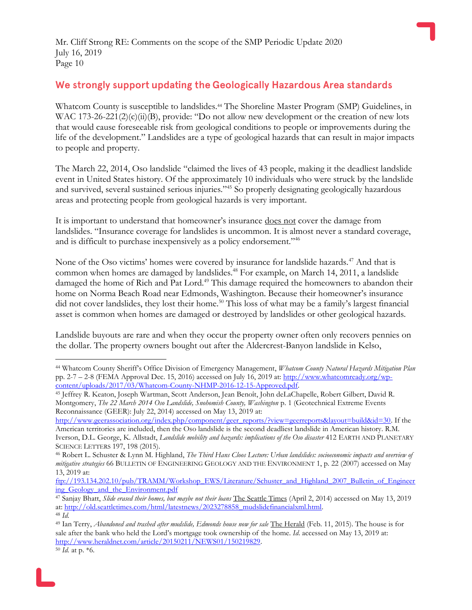## We strongly support updating the Geologically Hazardous Area standards

Whatcom County is susceptible to landslides.<sup>44</sup> The Shoreline Master Program (SMP) Guidelines, in WAC 173-26-221(2)(c)(ii)(B), provide: "Do not allow new development or the creation of new lots that would cause foreseeable risk from geological conditions to people or improvements during the life of the development." Landslides are a type of geological hazards that can result in major impacts to people and property.

The March 22, 2014, Oso landslide "claimed the lives of 43 people, making it the deadliest landslide event in United States history. Of the approximately 10 individuals who were struck by the landslide and survived, several sustained serious injuries."<sup>45</sup> So properly designating geologically hazardous areas and protecting people from geological hazards is very important.

It is important to understand that homeowner's insurance does not cover the damage from landslides. "Insurance coverage for landslides is uncommon. It is almost never a standard coverage, and is difficult to purchase inexpensively as a policy endorsement."<sup>46</sup>

None of the Oso victims' homes were covered by insurance for landslide hazards.<sup>47</sup> And that is common when homes are damaged by landslides.<sup>48</sup> For example, on March 14, 2011, a landslide damaged the home of Rich and Pat Lord.<sup>49</sup> This damage required the homeowners to abandon their home on Norma Beach Road near Edmonds, Washington. Because their homeowner's insurance did not cover landslides, they lost their home.<sup>50</sup> This loss of what may be a family's largest financial asset is common when homes are damaged or destroyed by landslides or other geological hazards.

Landslide buyouts are rare and when they occur the property owner often only recovers pennies on the dollar. The property owners bought out after the Aldercrest-Banyon landslide in Kelso,

<sup>44</sup> Whatcom County Sheriff's Office Division of Emergency Management, *Whatcom County Natural Hazards Mitigation Plan* pp. 2-7 – 2-8 (FEMA Approval Dec. 15, 2016) accessed on July 16, 2019 at:  $\frac{http://www.whatcomready.org/wp-1}{http://www.whatcomready.org/wp-1}$ [content/uploads/2017/03/Whatcom-County-NHMP-2016-12-15-Approved.pdf.](http://www.whatcomready.org/wp-content/uploads/2017/03/Whatcom-County-NHMP-2016-12-15-Approved.pdf)

<sup>45</sup> Jeffrey R. Keaton, Joseph Wartman, Scott Anderson, Jean Benoît, John deLaChapelle, Robert Gilbert, David R. Montgomery, *The 22 March 2014 Oso Landslide, Snohomish County, Washington* p. 1 (Geotechnical Extreme Events Reconnaissance (GEER): July 22, 2014) accessed on May 13, 2019 at:

[http://www.geerassociation.org/index.php/component/geer\\_reports/?view=geerreports&layout=build&id=30.](http://www.geerassociation.org/index.php/component/geer_reports/?view=geerreports&layout=build&id=30) If the American territories are included, then the Oso landslide is the second deadliest landslide in American history. R.M. Iverson, D.L. George, K. Allstadt, *Landslide mobility and hazards: implications of the Oso disaster* 412 EARTH AND PLANETARY SCIENCE LETTERS 197, 198 (2015).

<sup>46</sup> Robert L. Schuster & Lynn M. Highland, *The Third Hans Cloos Lecture: Urban landslides: socioeconomic impacts and overview of mitigative strategies* 66 BULLETIN OF ENGINEERING GEOLOGY AND THE ENVIRONMENT 1, p. 22 (2007) accessed on May 13, 2019 at:

[ftp://193.134.202.10/pub/TRAMM/Workshop\\_EWS/Literature/Schuster\\_and\\_Highland\\_2007\\_Bulletin\\_of\\_Engineer](ftp://193.134.202.10/pub/TRAMM/Workshop_EWS/Literature/Schuster_and_Highland_2007_Bulletin_of_Engineering_Geology_and_the_Environment.pdf) ing Geology and the Environment.pdf

<sup>47</sup> Sanjay Bhatt, *Slide erased their homes, but maybe not their loans* The Seattle Times (April 2, 2014) accessed on May 13, 2019 at[: http://old.seattletimes.com/html/latestnews/2023278858\\_mudslidefinancialxml.html.](http://old.seattletimes.com/html/latestnews/2023278858_mudslidefinancialxml.html)

<sup>48</sup> *Id.*

<sup>49</sup> Ian Terry, *Abandoned and trashed after mudslide, Edmonds house now for sale* The Herald (Feb. 11, 2015). The house is for sale after the bank who held the Lord's mortgage took ownership of the home. *Id*. accessed on May 13, 2019 at: [http://www.heraldnet.com/article/20150211/NEWS01/150219829.](http://www.heraldnet.com/article/20150211/NEWS01/150219829)

<sup>50</sup> *Id.* at p. \*6.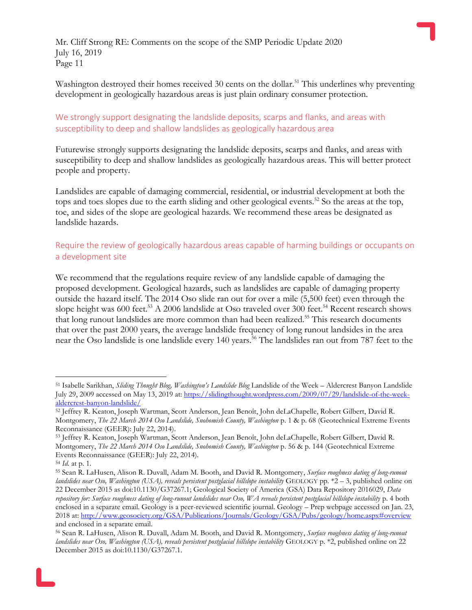Washington destroyed their homes received 30 cents on the dollar.<sup>51</sup> This underlines why preventing development in geologically hazardous areas is just plain ordinary consumer protection.

#### We strongly support designating the landslide deposits, scarps and flanks, and areas with susceptibility to deep and shallow landslides as geologically hazardous area

Futurewise strongly supports designating the landslide deposits, scarps and flanks, and areas with susceptibility to deep and shallow landslides as geologically hazardous areas. This will better protect people and property.

Landslides are capable of damaging commercial, residential, or industrial development at both the tops and toes slopes due to the earth sliding and other geological events.<sup>52</sup> So the areas at the top, toe, and sides of the slope are geological hazards. We recommend these areas be designated as landslide hazards.

#### Require the review of geologically hazardous areas capable of harming buildings or occupants on a development site

We recommend that the regulations require review of any landslide capable of damaging the proposed development. Geological hazards, such as landslides are capable of damaging property outside the hazard itself. The 2014 Oso slide ran out for over a mile (5,500 feet) even through the slope height was 600 feet.<sup>53</sup> A 2006 landslide at Oso traveled over 300 feet.<sup>54</sup> Recent research shows that long runout landslides are more common than had been realized.<sup>55</sup> This research documents that over the past 2000 years, the average landslide frequency of long runout landsides in the area near the Oso landslide is one landslide every 140 years.<sup>56</sup> The landslides ran out from 787 feet to the

<sup>51</sup> Isabelle Sarikhan, *Sliding Thought Blog, Washington's Landslide Blog* Landslide of the Week – Aldercrest Banyon Landslide July 29, 2009 accessed on May 13, 2019 at: [https://slidingthought.wordpress.com/2009/07/29/landslide-of-the-week](https://slidingthought.wordpress.com/2009/07/29/landslide-of-the-week-aldercrest-banyon-landslide/)[aldercrest-banyon-landslide/](https://slidingthought.wordpress.com/2009/07/29/landslide-of-the-week-aldercrest-banyon-landslide/)

<sup>52</sup> Jeffrey R. Keaton, Joseph Wartman, Scott Anderson, Jean Benoît, John deLaChapelle, Robert Gilbert, David R. Montgomery, *The 22 March 2014 Oso Landslide, Snohomish County, Washington* p. 1 & p. 68 (Geotechnical Extreme Events Reconnaissance (GEER): July 22, 2014).

<sup>53</sup> Jeffrey R. Keaton, Joseph Wartman, Scott Anderson, Jean Benoît, John deLaChapelle, Robert Gilbert, David R. Montgomery, *The 22 March 2014 Oso Landslide, Snohomish County, Washington* p. 56 & p. 144 (Geotechnical Extreme Events Reconnaissance (GEER): July 22, 2014).

<sup>54</sup> *Id.* at p. 1.

<sup>55</sup> Sean R. LaHusen, Alison R. Duvall, Adam M. Booth, and David R. Montgomery, *Surface roughness dating of long-runout landslides near Oso, Washington (USA), reveals persistent postglacial hillslope instability* GEOLOGY pp. \*2 – 3, published online on 22 December 2015 as doi:10.1130/G37267.1; Geological Society of America (GSA) Data Repository 2016029, *Data repository for: Surface roughness dating of long-runout landslides near Oso, WA reveals persistent postglacial hillslope instability* p. 4 both enclosed in a separate email. Geology is a peer-reviewed scientific journal. Geology – Prep webpage accessed on Jan. 23, 2018 at:<http://www.geosociety.org/GSA/Publications/Journals/Geology/GSA/Pubs/geology/home.aspx#overview> and enclosed in a separate email.

<sup>56</sup> Sean R. LaHusen, Alison R. Duvall, Adam M. Booth, and David R. Montgomery, *Surface roughness dating of long-runout landslides near Oso, Washington (USA), reveals persistent postglacial hillslope instability* GEOLOGY p. \*2, published online on 22 December 2015 as doi:10.1130/G37267.1.